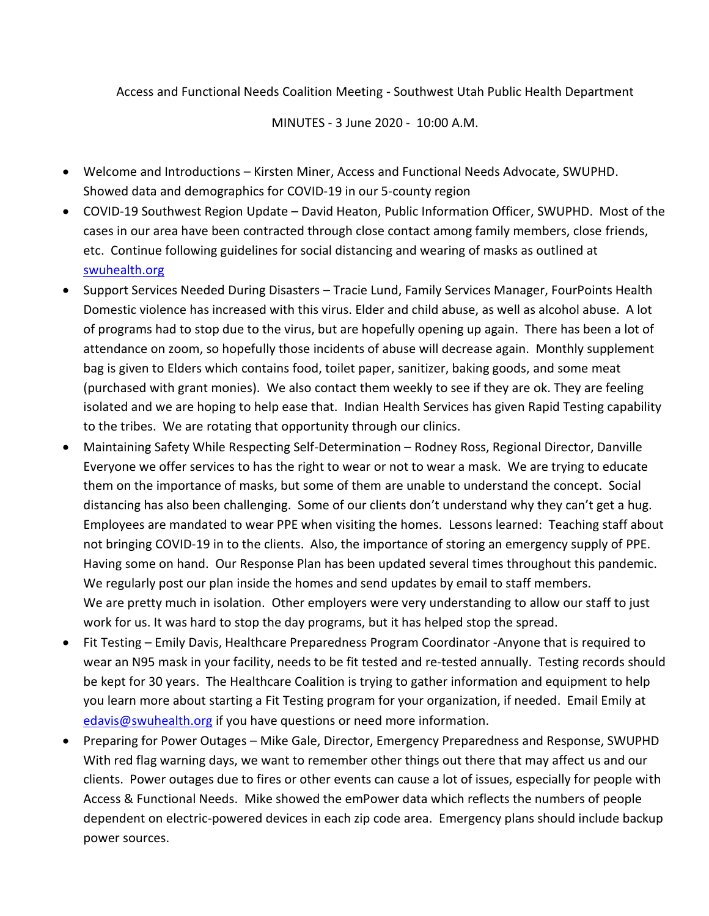Access and Functional Needs Coalition Meeting - Southwest Utah Public Health Department

MINUTES - 3 June 2020 - 10:00 A.M.

- Welcome and Introductions Kirsten Miner, Access and Functional Needs Advocate, SWUPHD. Showed data and demographics for COVID-19 in our 5-county region
- COVID-19 Southwest Region Update David Heaton, Public Information Officer, SWUPHD. Most of the cases in our area have been contracted through close contact among family members, close friends, etc. Continue following guidelines for social distancing and wearing of masks as outlined at [swuhealth.org](https://swuhealth.org/phased-guidelines/)
- Support Services Needed During Disasters Tracie Lund, Family Services Manager, FourPoints Health Domestic violence has increased with this virus. Elder and child abuse, as well as alcohol abuse. A lot of programs had to stop due to the virus, but are hopefully opening up again. There has been a lot of attendance on zoom, so hopefully those incidents of abuse will decrease again. Monthly supplement bag is given to Elders which contains food, toilet paper, sanitizer, baking goods, and some meat (purchased with grant monies). We also contact them weekly to see if they are ok. They are feeling isolated and we are hoping to help ease that. Indian Health Services has given Rapid Testing capability to the tribes. We are rotating that opportunity through our clinics.
- Maintaining Safety While Respecting Self-Determination Rodney Ross, Regional Director, Danville Everyone we offer services to has the right to wear or not to wear a mask. We are trying to educate them on the importance of masks, but some of them are unable to understand the concept. Social distancing has also been challenging. Some of our clients don't understand why they can't get a hug. Employees are mandated to wear PPE when visiting the homes. Lessons learned: Teaching staff about not bringing COVID-19 in to the clients. Also, the importance of storing an emergency supply of PPE. Having some on hand. Our Response Plan has been updated several times throughout this pandemic. We regularly post our plan inside the homes and send updates by email to staff members. We are pretty much in isolation. Other employers were very understanding to allow our staff to just work for us. It was hard to stop the day programs, but it has helped stop the spread.
- Fit Testing Emily Davis, Healthcare Preparedness Program Coordinator -Anyone that is required to wear an N95 mask in your facility, needs to be fit tested and re-tested annually. Testing records should be kept for 30 years. The Healthcare Coalition is trying to gather information and equipment to help you learn more about starting a Fit Testing program for your organization, if needed. Email Emily at [edavis@swuhealth.org](mailto:edavis@swuhealth.org) if you have questions or need more information.
- Preparing for Power Outages Mike Gale, Director, Emergency Preparedness and Response, SWUPHD With red flag warning days, we want to remember other things out there that may affect us and our clients. Power outages due to fires or other events can cause a lot of issues, especially for people with Access & Functional Needs. Mike showed the emPower data which reflects the numbers of people dependent on electric-powered devices in each zip code area. Emergency plans should include backup power sources.